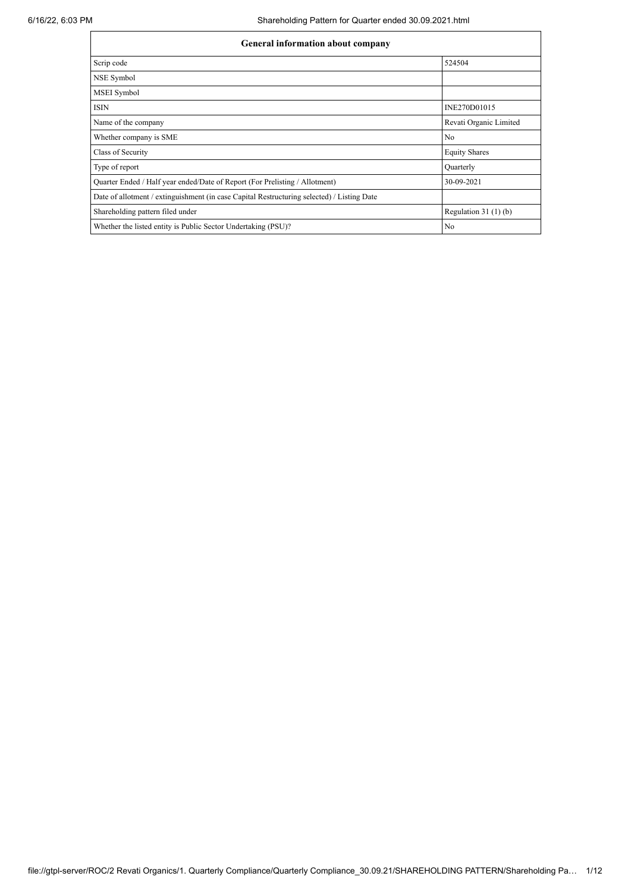| <b>General information about company</b>                                                   |                        |
|--------------------------------------------------------------------------------------------|------------------------|
| Scrip code                                                                                 | 524504                 |
| NSE Symbol                                                                                 |                        |
| MSEI Symbol                                                                                |                        |
| <b>ISIN</b>                                                                                | INE270D01015           |
| Name of the company                                                                        | Revati Organic Limited |
| Whether company is SME                                                                     | No                     |
| Class of Security                                                                          | <b>Equity Shares</b>   |
| Type of report                                                                             | Quarterly              |
| Quarter Ended / Half year ended/Date of Report (For Prelisting / Allotment)                | 30-09-2021             |
| Date of allotment / extinguishment (in case Capital Restructuring selected) / Listing Date |                        |
| Shareholding pattern filed under                                                           | Regulation $31(1)(b)$  |
| Whether the listed entity is Public Sector Undertaking (PSU)?                              | No                     |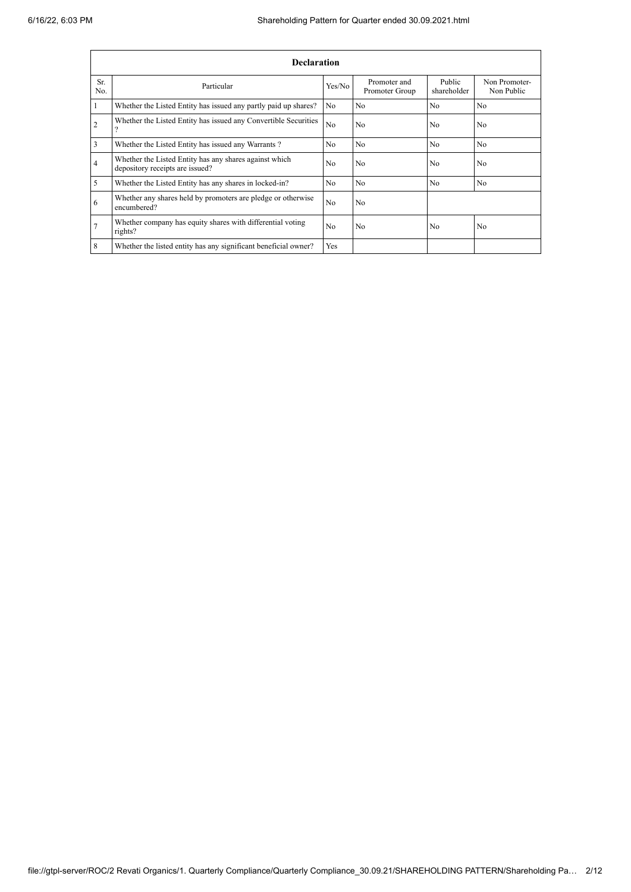|                | <b>Declaration</b>                                                                        |                |                                |                       |                             |  |  |  |  |  |  |  |  |
|----------------|-------------------------------------------------------------------------------------------|----------------|--------------------------------|-----------------------|-----------------------------|--|--|--|--|--|--|--|--|
| Sr.<br>No.     | Particular                                                                                | Yes/No         | Promoter and<br>Promoter Group | Public<br>shareholder | Non Promoter-<br>Non Public |  |  |  |  |  |  |  |  |
|                | Whether the Listed Entity has issued any partly paid up shares?                           | N <sub>o</sub> | N <sub>0</sub>                 | No                    | N <sub>o</sub>              |  |  |  |  |  |  |  |  |
| $\overline{2}$ | Whether the Listed Entity has issued any Convertible Securities<br>$\overline{?}$         | N <sub>0</sub> | N <sub>o</sub>                 | N <sub>0</sub>        | N <sub>o</sub>              |  |  |  |  |  |  |  |  |
| 3              | Whether the Listed Entity has issued any Warrants?                                        | No             | N <sub>o</sub>                 | No                    | N <sub>o</sub>              |  |  |  |  |  |  |  |  |
| $\overline{4}$ | Whether the Listed Entity has any shares against which<br>depository receipts are issued? | No             | N <sub>0</sub>                 | N <sub>0</sub>        | N <sub>0</sub>              |  |  |  |  |  |  |  |  |
| 5              | Whether the Listed Entity has any shares in locked-in?                                    | N <sub>o</sub> | N <sub>o</sub>                 | N <sub>0</sub>        | N <sub>o</sub>              |  |  |  |  |  |  |  |  |
| 6              | Whether any shares held by promoters are pledge or otherwise<br>encumbered?               | N <sub>0</sub> | N <sub>o</sub>                 |                       |                             |  |  |  |  |  |  |  |  |
| 7              | Whether company has equity shares with differential voting<br>rights?                     | N <sub>0</sub> | No                             | N <sub>0</sub>        | N <sub>o</sub>              |  |  |  |  |  |  |  |  |
| 8              | Whether the listed entity has any significant beneficial owner?                           | <b>Yes</b>     |                                |                       |                             |  |  |  |  |  |  |  |  |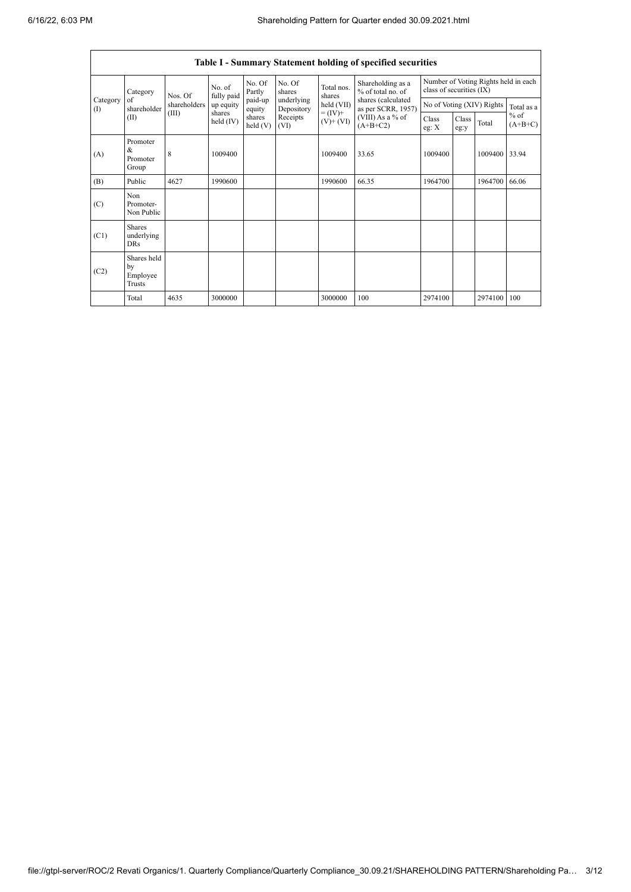r

h

|                                        | <b>Table I - Summary Statement holding of specified securities</b> |              |                       |                   |                          |                              |                                          |                                        |                          |                           |                                      |  |  |
|----------------------------------------|--------------------------------------------------------------------|--------------|-----------------------|-------------------|--------------------------|------------------------------|------------------------------------------|----------------------------------------|--------------------------|---------------------------|--------------------------------------|--|--|
|                                        | Category<br>of<br>shareholder<br>(II)                              | Nos. Of      | No. of<br>fully paid  | No. Of<br>Partly  | No. Of<br>shares         | Total nos.<br>shares         |                                          | Shareholding as a<br>% of total no. of | class of securities (IX) |                           | Number of Voting Rights held in each |  |  |
| Category<br>$\left( \mathrm{I}\right)$ |                                                                    | shareholders | up equity             | paid-up<br>equity | underlying<br>Depository | held (VII)                   | shares (calculated<br>as per SCRR, 1957) |                                        |                          | No of Voting (XIV) Rights | Total as a                           |  |  |
|                                        |                                                                    | (III)        | shares<br>held $(IV)$ | shares<br>held(V) | Receipts<br>(VI)         | $= (IV) +$<br>$(V)$ + $(VI)$ | (VIII) As a % of<br>$(A+B+C2)$           | Class<br>eg: X                         | Class<br>eg:y            | Total                     | $%$ of<br>$(A+B+C)$                  |  |  |
| (A)                                    | Promoter<br>&<br>Promoter<br>Group                                 | 8            | 1009400               |                   |                          | 1009400                      | 33.65                                    | 1009400                                |                          | 1009400                   | 33.94                                |  |  |
| (B)                                    | Public                                                             | 4627         | 1990600               |                   |                          | 1990600                      | 66.35                                    | 1964700                                |                          | 1964700                   | 66.06                                |  |  |
| (C)                                    | Non<br>Promoter-<br>Non Public                                     |              |                       |                   |                          |                              |                                          |                                        |                          |                           |                                      |  |  |
| (C1)                                   | <b>Shares</b><br>underlying<br><b>DRs</b>                          |              |                       |                   |                          |                              |                                          |                                        |                          |                           |                                      |  |  |
| (C2)                                   | Shares held<br>by<br>Employee<br>Trusts                            |              |                       |                   |                          |                              |                                          |                                        |                          |                           |                                      |  |  |
|                                        | Total                                                              | 4635         | 3000000               |                   |                          | 3000000                      | 100                                      | 2974100                                |                          | 2974100                   | 100                                  |  |  |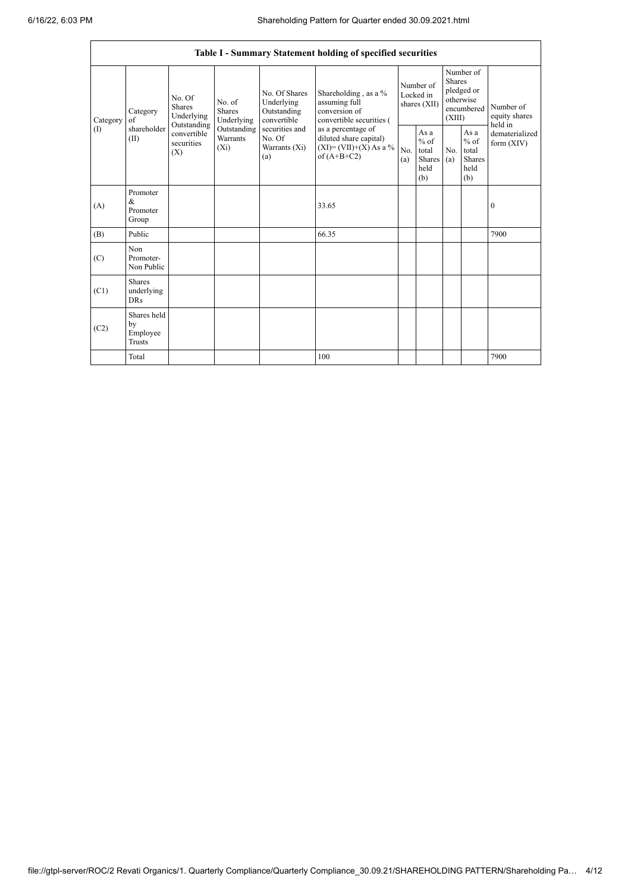|                 |                                           |                                               |                                           |                                                                                                               | Table I - Summary Statement holding of specified securities                                |                                        |                                                  |                                                                        |                                                  |                                       |
|-----------------|-------------------------------------------|-----------------------------------------------|-------------------------------------------|---------------------------------------------------------------------------------------------------------------|--------------------------------------------------------------------------------------------|----------------------------------------|--------------------------------------------------|------------------------------------------------------------------------|--------------------------------------------------|---------------------------------------|
| Category<br>(I) | Category<br>of                            | No. Of<br>Shares<br>Underlying<br>Outstanding | No. of<br>Shares<br>Underlying            | No. Of Shares<br>Underlying<br>Outstanding<br>convertible<br>securities and<br>No. Of<br>Warrants (Xi)<br>(a) | Shareholding, as a %<br>assuming full<br>conversion of<br>convertible securities (         | Number of<br>Locked in<br>shares (XII) |                                                  | Number of<br>Shares<br>pledged or<br>otherwise<br>encumbered<br>(XIII) |                                                  | Number of<br>equity shares<br>held in |
|                 | shareholder<br>(II)                       | convertible<br>securities<br>(X)              | Outstanding<br><b>Warrants</b><br>$(X_i)$ |                                                                                                               | as a percentage of<br>diluted share capital)<br>$(XI) = (VII)+(X) As a %$<br>of $(A+B+C2)$ | No.<br>(a)                             | As a<br>$%$ of<br>total<br>Shares<br>held<br>(b) | No.<br>(a)                                                             | As a<br>$%$ of<br>total<br>Shares<br>held<br>(b) | dematerialized<br>form $(XIV)$        |
| (A)             | Promoter<br>$\&$<br>Promoter<br>Group     |                                               |                                           |                                                                                                               | 33.65                                                                                      |                                        |                                                  |                                                                        |                                                  | $\boldsymbol{0}$                      |
| (B)             | Public                                    |                                               |                                           |                                                                                                               | 66.35                                                                                      |                                        |                                                  |                                                                        |                                                  | 7900                                  |
| (C)             | Non<br>Promoter-<br>Non Public            |                                               |                                           |                                                                                                               |                                                                                            |                                        |                                                  |                                                                        |                                                  |                                       |
| (C1)            | <b>Shares</b><br>underlying<br><b>DRs</b> |                                               |                                           |                                                                                                               |                                                                                            |                                        |                                                  |                                                                        |                                                  |                                       |
| (C2)            | Shares held<br>by<br>Employee<br>Trusts   |                                               |                                           |                                                                                                               |                                                                                            |                                        |                                                  |                                                                        |                                                  |                                       |
|                 | Total                                     |                                               |                                           |                                                                                                               | 100                                                                                        |                                        |                                                  |                                                                        |                                                  | 7900                                  |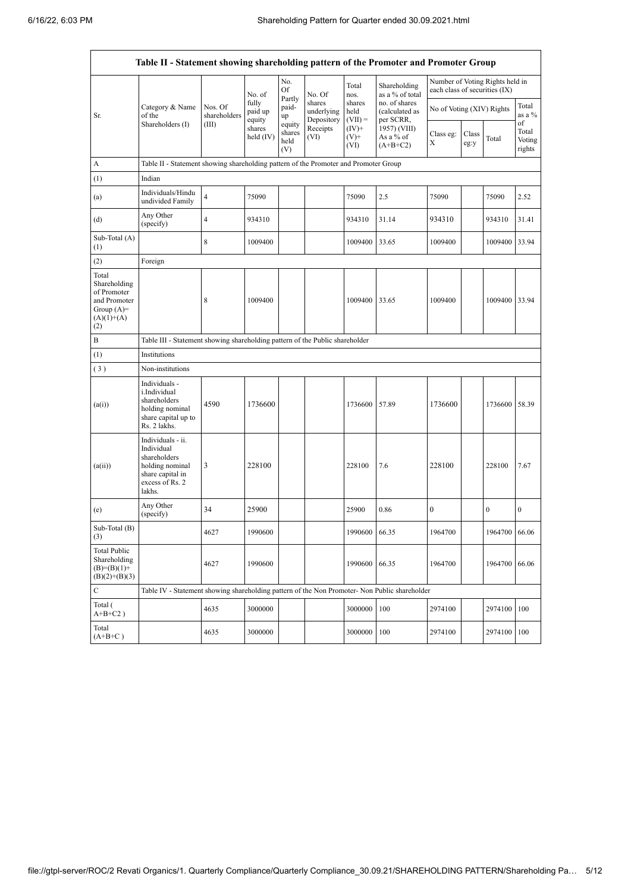|                                                                                             | Table II - Statement showing shareholding pattern of the Promoter and Promoter Group                                |                         |                            |                                 |                                    |                             |                                                                                         |                               |               |                                 |                           |
|---------------------------------------------------------------------------------------------|---------------------------------------------------------------------------------------------------------------------|-------------------------|----------------------------|---------------------------------|------------------------------------|-----------------------------|-----------------------------------------------------------------------------------------|-------------------------------|---------------|---------------------------------|---------------------------|
|                                                                                             |                                                                                                                     |                         | No. of                     | No.<br>Of                       | No. Of                             | Total<br>nos.               | Shareholding<br>as a % of total                                                         | each class of securities (IX) |               | Number of Voting Rights held in |                           |
| Sr.                                                                                         | Category & Name<br>of the                                                                                           | Nos. Of<br>shareholders | fully<br>paid up<br>equity | Partly<br>paid-<br>up           | shares<br>underlying<br>Depository | shares<br>held<br>$(VII) =$ | no. of shares<br>(calculated as<br>per SCRR,<br>1957) (VIII)<br>As a % of<br>$(A+B+C2)$ | No of Voting (XIV) Rights     |               |                                 | Total<br>as a %<br>of     |
|                                                                                             | Shareholders (I)                                                                                                    | (III)                   | shares<br>held $(IV)$      | equity<br>shares<br>held<br>(V) | Receipts<br>(VI)                   | $(IV)+$<br>$(V)$ +<br>(VI)  |                                                                                         | Class eg:<br>X                | Class<br>eg:y | Total                           | Total<br>Voting<br>rights |
| A                                                                                           | Table II - Statement showing shareholding pattern of the Promoter and Promoter Group                                |                         |                            |                                 |                                    |                             |                                                                                         |                               |               |                                 |                           |
| (1)                                                                                         | Indian                                                                                                              |                         |                            |                                 |                                    |                             |                                                                                         |                               |               |                                 |                           |
| (a)                                                                                         | Individuals/Hindu<br>undivided Family                                                                               | $\overline{4}$          | 75090                      |                                 |                                    | 75090                       | 2.5                                                                                     | 75090                         |               | 75090                           | 2.52                      |
| (d)                                                                                         | Any Other<br>(specify)                                                                                              | 4                       | 934310                     |                                 |                                    | 934310                      | 31.14                                                                                   | 934310                        |               | 934310                          | 31.41                     |
| Sub-Total (A)<br>(1)                                                                        |                                                                                                                     | 8                       | 1009400                    |                                 |                                    | 1009400                     | 33.65                                                                                   | 1009400                       |               | 1009400                         | 33.94                     |
| (2)                                                                                         | Foreign                                                                                                             |                         |                            |                                 |                                    |                             |                                                                                         |                               |               |                                 |                           |
| Total<br>Shareholding<br>of Promoter<br>and Promoter<br>Group $(A)=$<br>$(A)(1)+(A)$<br>(2) |                                                                                                                     | 8                       | 1009400                    |                                 |                                    | 1009400                     | 33.65                                                                                   | 1009400                       |               | 1009400                         | 33.94                     |
| B                                                                                           | Table III - Statement showing shareholding pattern of the Public shareholder                                        |                         |                            |                                 |                                    |                             |                                                                                         |                               |               |                                 |                           |
| (1)                                                                                         | Institutions                                                                                                        |                         |                            |                                 |                                    |                             |                                                                                         |                               |               |                                 |                           |
| (3)                                                                                         | Non-institutions                                                                                                    |                         |                            |                                 |                                    |                             |                                                                                         |                               |               |                                 |                           |
| (a(i))                                                                                      | Individuals -<br>i.Individual<br>shareholders<br>holding nominal<br>share capital up to<br>Rs. 2 lakhs.             | 4590                    | 1736600                    |                                 |                                    | 1736600                     | 57.89                                                                                   | 1736600                       |               | 1736600                         | 58.39                     |
| (a(ii))                                                                                     | Individuals - ii.<br>Individual<br>shareholders<br>holding nominal<br>share capital in<br>excess of Rs. 2<br>lakhs. | 3                       | 228100                     |                                 |                                    | 228100                      | 7.6                                                                                     | 228100                        |               | 228100                          | 7.67                      |
| (e)                                                                                         | Any Other<br>(specify)                                                                                              | 34                      | 25900                      |                                 |                                    | 25900                       | 0.86                                                                                    | $\boldsymbol{0}$              |               | $\overline{0}$                  | $\boldsymbol{0}$          |
| Sub-Total (B)<br>(3)                                                                        |                                                                                                                     | 4627                    | 1990600                    |                                 |                                    | 1990600 66.35               |                                                                                         | 1964700                       |               | 1964700 66.06                   |                           |
| <b>Total Public</b><br>Shareholding<br>$(B)=(B)(1)+$<br>$(B)(2)+(B)(3)$                     |                                                                                                                     | 4627                    | 1990600                    |                                 |                                    | 1990600                     | 66.35                                                                                   | 1964700                       |               | 1964700                         | 66.06                     |
| ${\bf C}$                                                                                   | Table IV - Statement showing shareholding pattern of the Non Promoter- Non Public shareholder                       |                         |                            |                                 |                                    |                             |                                                                                         |                               |               |                                 |                           |
| Total (<br>$A+B+C2$ )                                                                       |                                                                                                                     | 4635                    | 3000000                    |                                 |                                    | 3000000                     | 100                                                                                     | 2974100                       |               | 2974100                         | 100                       |
| Total<br>$(A+B+C)$                                                                          |                                                                                                                     | 4635                    | 3000000                    |                                 |                                    | 3000000                     | 100                                                                                     | 2974100                       |               | 2974100                         | 100                       |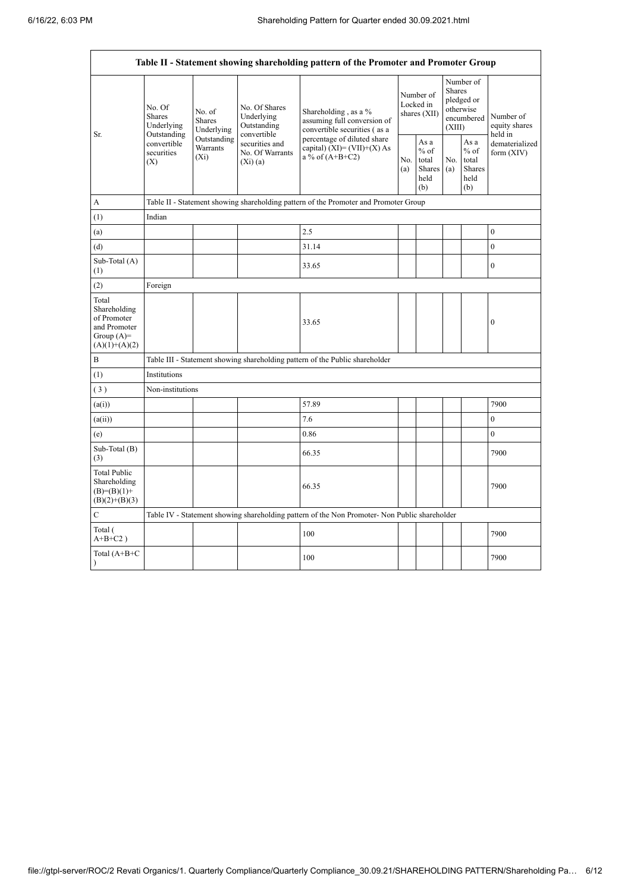|                                                                                         | Table II - Statement showing shareholding pattern of the Promoter and Promoter Group |                                                                                       |                                                           |                                                                                               |            |                                                  |              |                                                                        |                                       |  |  |  |  |  |
|-----------------------------------------------------------------------------------------|--------------------------------------------------------------------------------------|---------------------------------------------------------------------------------------|-----------------------------------------------------------|-----------------------------------------------------------------------------------------------|------------|--------------------------------------------------|--------------|------------------------------------------------------------------------|---------------------------------------|--|--|--|--|--|
|                                                                                         | No. Of<br><b>Shares</b><br>Underlying                                                | No. of<br><b>Shares</b><br>Underlying                                                 | No. Of Shares<br>Underlying<br>Outstanding<br>convertible | Shareholding, as a %<br>assuming full conversion of<br>convertible securities (as a           |            | Number of<br>Locked in<br>shares (XII)           |              | Number of<br>Shares<br>pledged or<br>otherwise<br>encumbered<br>(XIII) | Number of<br>equity shares<br>held in |  |  |  |  |  |
| Sr.                                                                                     | Outstanding<br>convertible<br>securities<br>(X)                                      | Outstanding<br>securities and<br>Warrants<br>No. Of Warrants<br>$(X_i)$<br>$(Xi)$ (a) |                                                           | percentage of diluted share<br>capital) $(XI) = (VII)+(X) As$<br>a % of $(A+B+C2)$            | No.<br>(a) | As a<br>$%$ of<br>total<br>Shares<br>held<br>(b) | No.<br>(a)   | As a<br>$%$ of<br>total<br>Shares<br>held<br>(b)                       | dematerialized<br>form (XIV)          |  |  |  |  |  |
| A                                                                                       |                                                                                      |                                                                                       |                                                           | Table II - Statement showing shareholding pattern of the Promoter and Promoter Group          |            |                                                  |              |                                                                        |                                       |  |  |  |  |  |
| (1)                                                                                     | Indian                                                                               |                                                                                       |                                                           |                                                                                               |            |                                                  |              |                                                                        |                                       |  |  |  |  |  |
| (a)                                                                                     |                                                                                      |                                                                                       |                                                           | 2.5                                                                                           |            |                                                  |              |                                                                        | $\boldsymbol{0}$                      |  |  |  |  |  |
| (d)                                                                                     |                                                                                      |                                                                                       |                                                           | 31.14                                                                                         |            |                                                  |              |                                                                        | $\boldsymbol{0}$                      |  |  |  |  |  |
| Sub-Total (A)<br>(1)                                                                    |                                                                                      |                                                                                       | 33.65                                                     |                                                                                               |            |                                                  | $\mathbf{0}$ |                                                                        |                                       |  |  |  |  |  |
| (2)                                                                                     | Foreign                                                                              |                                                                                       |                                                           |                                                                                               |            |                                                  |              |                                                                        |                                       |  |  |  |  |  |
| Total<br>Shareholding<br>of Promoter<br>and Promoter<br>Group $(A)=$<br>$(A)(1)+(A)(2)$ |                                                                                      |                                                                                       | 33.65                                                     |                                                                                               |            |                                                  |              | $\boldsymbol{0}$                                                       |                                       |  |  |  |  |  |
| $\, {\bf B}$                                                                            |                                                                                      |                                                                                       |                                                           | Table III - Statement showing shareholding pattern of the Public shareholder                  |            |                                                  |              |                                                                        |                                       |  |  |  |  |  |
| (1)                                                                                     | Institutions                                                                         |                                                                                       |                                                           |                                                                                               |            |                                                  |              |                                                                        |                                       |  |  |  |  |  |
| (3)                                                                                     | Non-institutions                                                                     |                                                                                       |                                                           |                                                                                               |            |                                                  |              |                                                                        |                                       |  |  |  |  |  |
| (a(i))                                                                                  |                                                                                      |                                                                                       |                                                           | 57.89                                                                                         |            |                                                  |              |                                                                        | 7900                                  |  |  |  |  |  |
| (a(ii))                                                                                 |                                                                                      |                                                                                       |                                                           | 7.6                                                                                           |            |                                                  |              |                                                                        | $\overline{0}$                        |  |  |  |  |  |
| (e)                                                                                     |                                                                                      |                                                                                       |                                                           | 0.86                                                                                          |            |                                                  |              |                                                                        | $\mathbf{0}$                          |  |  |  |  |  |
| Sub-Total (B)<br>(3)                                                                    |                                                                                      |                                                                                       |                                                           | 66.35                                                                                         |            |                                                  |              |                                                                        | 7900                                  |  |  |  |  |  |
| <b>Total Public</b><br>Shareholding<br>$(B)=(B)(1)+$<br>$(B)(2)+(B)(3)$                 |                                                                                      |                                                                                       | 66.35                                                     |                                                                                               |            |                                                  |              | 7900                                                                   |                                       |  |  |  |  |  |
| $\mathbf C$                                                                             |                                                                                      |                                                                                       |                                                           | Table IV - Statement showing shareholding pattern of the Non Promoter- Non Public shareholder |            |                                                  |              |                                                                        |                                       |  |  |  |  |  |
| Total (<br>$A+B+C2$ )                                                                   |                                                                                      |                                                                                       |                                                           | 100                                                                                           |            |                                                  |              |                                                                        | 7900                                  |  |  |  |  |  |
| Total (A+B+C<br>$\mathcal{E}$                                                           |                                                                                      |                                                                                       |                                                           | 100                                                                                           |            |                                                  |              |                                                                        | 7900                                  |  |  |  |  |  |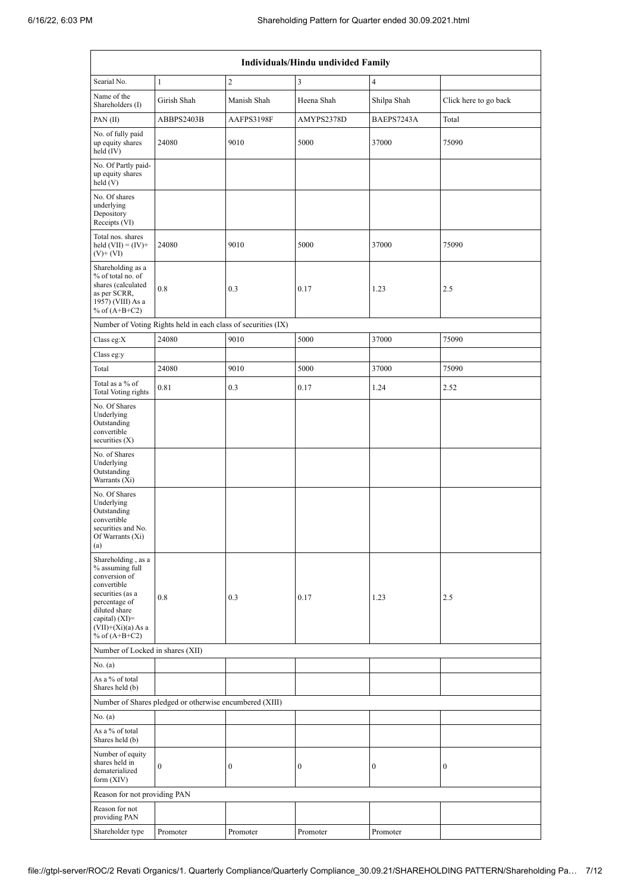|                                                                                                                                                                                            | Individuals/Hindu undivided Family                            |                |                  |                          |                       |  |  |  |  |  |  |  |  |
|--------------------------------------------------------------------------------------------------------------------------------------------------------------------------------------------|---------------------------------------------------------------|----------------|------------------|--------------------------|-----------------------|--|--|--|--|--|--|--|--|
| Searial No.                                                                                                                                                                                | $\mathbf{1}$                                                  | $\overline{c}$ | 3                | $\overline{\mathcal{A}}$ |                       |  |  |  |  |  |  |  |  |
| Name of the<br>Shareholders (I)                                                                                                                                                            | Girish Shah                                                   | Manish Shah    | Heena Shah       | Shilpa Shah              | Click here to go back |  |  |  |  |  |  |  |  |
| PAN $(II)$                                                                                                                                                                                 | ABBPS2403B                                                    | AAFPS3198F     | AMYPS2378D       | BAEPS7243A               | Total                 |  |  |  |  |  |  |  |  |
| No. of fully paid<br>up equity shares<br>held (IV)                                                                                                                                         | 24080                                                         | 9010           | 5000             | 37000                    | 75090                 |  |  |  |  |  |  |  |  |
| No. Of Partly paid-<br>up equity shares<br>held $(V)$                                                                                                                                      |                                                               |                |                  |                          |                       |  |  |  |  |  |  |  |  |
| No. Of shares<br>underlying<br>Depository<br>Receipts (VI)                                                                                                                                 |                                                               |                |                  |                          |                       |  |  |  |  |  |  |  |  |
| Total nos. shares<br>held $(VII) = (IV) +$<br>$(V)$ + $(VI)$                                                                                                                               | 24080                                                         | 9010           | 5000             | 37000                    | 75090                 |  |  |  |  |  |  |  |  |
| Shareholding as a<br>% of total no. of<br>shares (calculated<br>as per SCRR,<br>1957) (VIII) As a<br>% of $(A+B+C2)$                                                                       | 0.8                                                           | 0.3            | 0.17             | 1.23                     | 2.5                   |  |  |  |  |  |  |  |  |
|                                                                                                                                                                                            | Number of Voting Rights held in each class of securities (IX) |                |                  |                          |                       |  |  |  |  |  |  |  |  |
| Class eg: $X$                                                                                                                                                                              | 24080                                                         | 9010           | 5000             | 37000                    | 75090                 |  |  |  |  |  |  |  |  |
| Class eg:y                                                                                                                                                                                 |                                                               |                |                  |                          |                       |  |  |  |  |  |  |  |  |
| Total                                                                                                                                                                                      | 24080                                                         | 9010           | 5000             | 37000                    | 75090                 |  |  |  |  |  |  |  |  |
| Total as a % of<br>Total Voting rights                                                                                                                                                     | 0.81                                                          | 0.3            | 0.17             | 1.24                     | 2.52                  |  |  |  |  |  |  |  |  |
| No. Of Shares<br>Underlying<br>Outstanding<br>convertible<br>securities (X)                                                                                                                |                                                               |                |                  |                          |                       |  |  |  |  |  |  |  |  |
| No. of Shares<br>Underlying<br>Outstanding<br>Warrants (Xi)                                                                                                                                |                                                               |                |                  |                          |                       |  |  |  |  |  |  |  |  |
| No. Of Shares<br>Underlying<br>Outstanding<br>convertible<br>securities and No.<br>Of Warrants (Xi)<br>(a)                                                                                 |                                                               |                |                  |                          |                       |  |  |  |  |  |  |  |  |
| Shareholding, as a<br>% assuming full<br>conversion of<br>convertible<br>securities (as a<br>percentage of<br>diluted share<br>capital) $(XI)=$<br>$(VII)+(Xi)(a)$ As a<br>% of $(A+B+C2)$ | 0.8                                                           | 0.3            | 0.17             | 1.23                     | 2.5                   |  |  |  |  |  |  |  |  |
| Number of Locked in shares (XII)                                                                                                                                                           |                                                               |                |                  |                          |                       |  |  |  |  |  |  |  |  |
| No. (a)                                                                                                                                                                                    |                                                               |                |                  |                          |                       |  |  |  |  |  |  |  |  |
| As a % of total<br>Shares held (b)                                                                                                                                                         |                                                               |                |                  |                          |                       |  |  |  |  |  |  |  |  |
|                                                                                                                                                                                            | Number of Shares pledged or otherwise encumbered (XIII)       |                |                  |                          |                       |  |  |  |  |  |  |  |  |
| No. (a)                                                                                                                                                                                    |                                                               |                |                  |                          |                       |  |  |  |  |  |  |  |  |
| As a % of total<br>Shares held (b)                                                                                                                                                         |                                                               |                |                  |                          |                       |  |  |  |  |  |  |  |  |
| Number of equity<br>shares held in<br>dematerialized<br>form $(XIV)$                                                                                                                       | $\boldsymbol{0}$                                              | 0              | $\boldsymbol{0}$ | 0                        | $\boldsymbol{0}$      |  |  |  |  |  |  |  |  |
| Reason for not providing PAN                                                                                                                                                               |                                                               |                |                  |                          |                       |  |  |  |  |  |  |  |  |
| Reason for not<br>providing PAN                                                                                                                                                            |                                                               |                |                  |                          |                       |  |  |  |  |  |  |  |  |
| Shareholder type                                                                                                                                                                           | Promoter                                                      | Promoter       | Promoter         | Promoter                 |                       |  |  |  |  |  |  |  |  |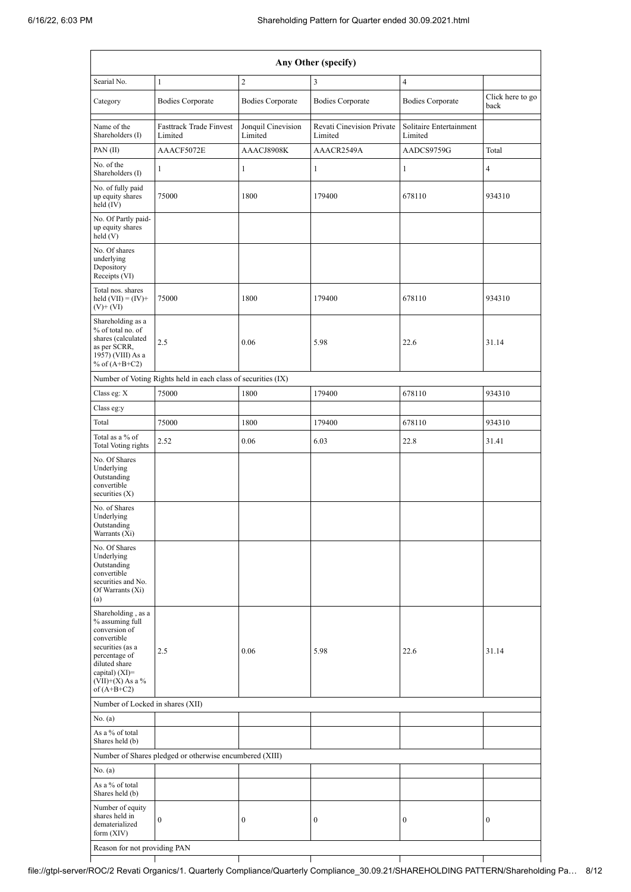ł

T

| Any Other (specify)                                                                                                                                                                    |                                                               |                               |                                      |                                    |                          |  |  |  |  |  |  |  |
|----------------------------------------------------------------------------------------------------------------------------------------------------------------------------------------|---------------------------------------------------------------|-------------------------------|--------------------------------------|------------------------------------|--------------------------|--|--|--|--|--|--|--|
| Searial No.                                                                                                                                                                            | $\mathbf{1}$                                                  | $\overline{c}$                | $\mathfrak{Z}$                       | $\overline{4}$                     |                          |  |  |  |  |  |  |  |
| Category                                                                                                                                                                               | <b>Bodies Corporate</b>                                       | <b>Bodies Corporate</b>       | <b>Bodies Corporate</b>              | <b>Bodies Corporate</b>            | Click here to go<br>back |  |  |  |  |  |  |  |
| Name of the<br>Shareholders (I)                                                                                                                                                        | <b>Fasttrack Trade Finvest</b><br>Limited                     | Jonquil Cinevision<br>Limited | Revati Cinevision Private<br>Limited | Solitaire Entertainment<br>Limited |                          |  |  |  |  |  |  |  |
| PAN(II)                                                                                                                                                                                | AAACF5072E                                                    | AAACJ8908K                    | AAACR2549A                           | AADCS9759G                         | Total                    |  |  |  |  |  |  |  |
| No. of the<br>Shareholders (I)                                                                                                                                                         | $\mathbf{1}$                                                  | 1                             | $\mathbf{1}$                         | 1                                  | $\overline{\mathbf{4}}$  |  |  |  |  |  |  |  |
| No. of fully paid<br>up equity shares<br>held (IV)                                                                                                                                     | 75000                                                         | 1800                          | 179400                               | 678110                             | 934310                   |  |  |  |  |  |  |  |
| No. Of Partly paid-<br>up equity shares<br>held (V)                                                                                                                                    |                                                               |                               |                                      |                                    |                          |  |  |  |  |  |  |  |
| No. Of shares<br>underlying<br>Depository<br>Receipts (VI)                                                                                                                             |                                                               |                               |                                      |                                    |                          |  |  |  |  |  |  |  |
| Total nos. shares<br>held $(VII) = (IV) +$<br>$(V)$ + $(VI)$                                                                                                                           | 75000                                                         | 1800                          | 179400                               | 678110                             | 934310                   |  |  |  |  |  |  |  |
| Shareholding as a<br>% of total no. of<br>shares (calculated<br>as per SCRR,<br>$1957$ ) (VIII) As a<br>% of $(A+B+C2)$                                                                | 2.5                                                           | 0.06                          | 5.98                                 | 22.6                               | 31.14                    |  |  |  |  |  |  |  |
|                                                                                                                                                                                        | Number of Voting Rights held in each class of securities (IX) |                               |                                      |                                    |                          |  |  |  |  |  |  |  |
| Class eg: X                                                                                                                                                                            | 75000                                                         | 1800                          | 179400                               | 678110                             | 934310                   |  |  |  |  |  |  |  |
| Class eg:y                                                                                                                                                                             |                                                               |                               |                                      |                                    |                          |  |  |  |  |  |  |  |
| Total                                                                                                                                                                                  | 75000                                                         | 1800                          | 179400                               | 678110                             | 934310                   |  |  |  |  |  |  |  |
| Total as a % of<br>Total Voting rights                                                                                                                                                 | 2.52                                                          | 0.06                          | 6.03                                 | 22.8                               | 31.41                    |  |  |  |  |  |  |  |
| No. Of Shares<br>Underlying<br>Outstanding<br>convertible<br>securities $(X)$                                                                                                          |                                                               |                               |                                      |                                    |                          |  |  |  |  |  |  |  |
| No. of Shares<br>Underlying<br>Outstanding<br>Warrants (Xi)                                                                                                                            |                                                               |                               |                                      |                                    |                          |  |  |  |  |  |  |  |
| No. Of Shares<br>Underlying<br>Outstanding<br>convertible<br>securities and No.<br>Of Warrants (Xi)<br>(a)                                                                             |                                                               |                               |                                      |                                    |                          |  |  |  |  |  |  |  |
| Shareholding, as a<br>% assuming full<br>conversion of<br>convertible<br>securities (as a<br>percentage of<br>diluted share<br>capital) $(XI)=$<br>$(VII)+(X)$ As a %<br>of $(A+B+C2)$ | 2.5                                                           | 0.06                          | 5.98                                 | 22.6                               | 31.14                    |  |  |  |  |  |  |  |
| Number of Locked in shares (XII)                                                                                                                                                       |                                                               |                               |                                      |                                    |                          |  |  |  |  |  |  |  |
| No. (a)                                                                                                                                                                                |                                                               |                               |                                      |                                    |                          |  |  |  |  |  |  |  |
| As a % of total<br>Shares held (b)                                                                                                                                                     |                                                               |                               |                                      |                                    |                          |  |  |  |  |  |  |  |
|                                                                                                                                                                                        | Number of Shares pledged or otherwise encumbered (XIII)       |                               |                                      |                                    |                          |  |  |  |  |  |  |  |
| No. (a)                                                                                                                                                                                |                                                               |                               |                                      |                                    |                          |  |  |  |  |  |  |  |
| As a % of total<br>Shares held (b)                                                                                                                                                     |                                                               |                               |                                      |                                    |                          |  |  |  |  |  |  |  |
| Number of equity<br>shares held in<br>dematerialized<br>form $(XIV)$<br>Reason for not providing PAN                                                                                   | $\boldsymbol{0}$                                              | $\boldsymbol{0}$              | $\boldsymbol{0}$                     | $\boldsymbol{0}$                   | $\boldsymbol{0}$         |  |  |  |  |  |  |  |

 $\overline{\phantom{a}}$ 

Τ

Τ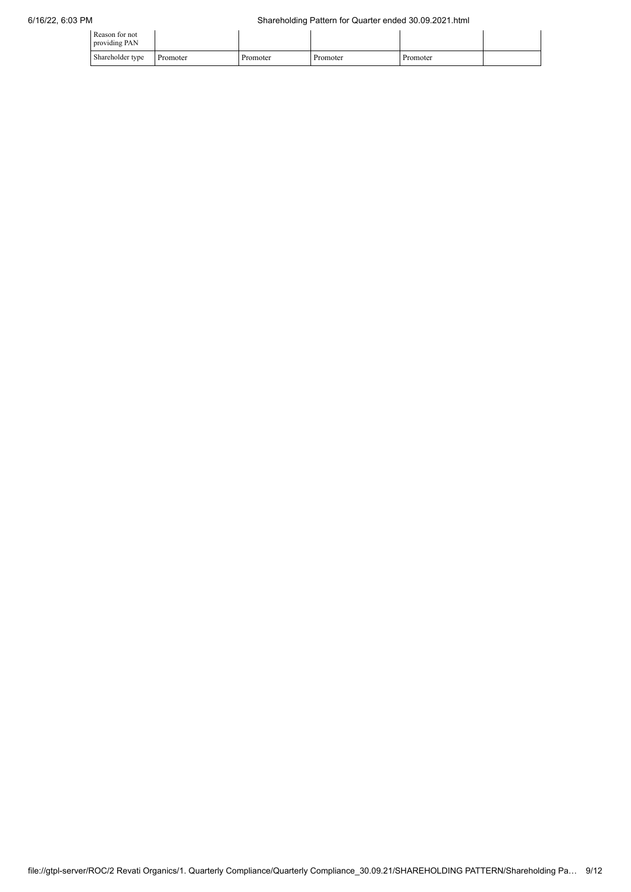| Reason for not<br>providing PAN |          |          |          |          |  |
|---------------------------------|----------|----------|----------|----------|--|
| Shareholder type                | Promoter | Promoter | Promoter | Promoter |  |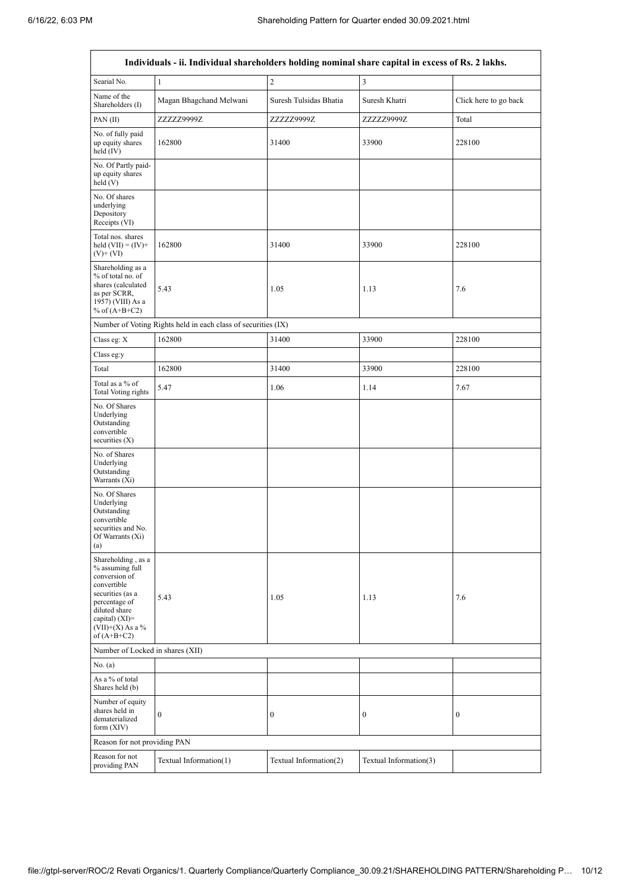$\mathsf{r}$ 

 $\overline{\phantom{0}}$ 

|                                                                                                                                                                                        | Individuals - ii. Individual shareholders holding nominal share capital in excess of Rs. 2 lakhs. |                        |                        |                       |  |  |  |  |  |  |  |
|----------------------------------------------------------------------------------------------------------------------------------------------------------------------------------------|---------------------------------------------------------------------------------------------------|------------------------|------------------------|-----------------------|--|--|--|--|--|--|--|
| Searial No.                                                                                                                                                                            | $\mathbf{1}$                                                                                      | $\sqrt{2}$             | 3                      |                       |  |  |  |  |  |  |  |
| Name of the<br>Shareholders (I)                                                                                                                                                        | Magan Bhagchand Melwani                                                                           | Suresh Tulsidas Bhatia | Suresh Khatri          | Click here to go back |  |  |  |  |  |  |  |
| PAN(II)                                                                                                                                                                                | ZZZZZ9999Z                                                                                        | ZZZZZ9999Z             | ZZZZZ9999Z             | Total                 |  |  |  |  |  |  |  |
| No. of fully paid<br>up equity shares<br>held $(IV)$                                                                                                                                   | 162800                                                                                            | 31400                  | 33900                  | 228100                |  |  |  |  |  |  |  |
| No. Of Partly paid-<br>up equity shares<br>held(V)                                                                                                                                     |                                                                                                   |                        |                        |                       |  |  |  |  |  |  |  |
| No. Of shares<br>underlying<br>Depository<br>Receipts (VI)                                                                                                                             |                                                                                                   |                        |                        |                       |  |  |  |  |  |  |  |
| Total nos. shares<br>held $(VII) = (IV) +$<br>$(V)$ + $(VI)$                                                                                                                           | 162800                                                                                            | 31400                  | 33900                  | 228100                |  |  |  |  |  |  |  |
| Shareholding as a<br>% of total no. of<br>shares (calculated<br>as per SCRR,<br>1957) (VIII) As a<br>% of $(A+B+C2)$                                                                   | 5.43                                                                                              | 1.05                   | 1.13                   | 7.6                   |  |  |  |  |  |  |  |
|                                                                                                                                                                                        | Number of Voting Rights held in each class of securities (IX)                                     |                        |                        |                       |  |  |  |  |  |  |  |
| Class eg: X                                                                                                                                                                            | 162800                                                                                            | 31400                  | 33900                  | 228100                |  |  |  |  |  |  |  |
| Class eg:y                                                                                                                                                                             |                                                                                                   |                        |                        |                       |  |  |  |  |  |  |  |
| Total                                                                                                                                                                                  | 162800                                                                                            | 31400                  | 33900                  | 228100                |  |  |  |  |  |  |  |
| Total as a % of<br>Total Voting rights                                                                                                                                                 | 5.47                                                                                              | 1.06                   | 1.14                   | 7.67                  |  |  |  |  |  |  |  |
| No. Of Shares<br>Underlying<br>Outstanding<br>convertible<br>securities (X)                                                                                                            |                                                                                                   |                        |                        |                       |  |  |  |  |  |  |  |
| No. of Shares<br>Underlying<br>Outstanding<br>Warrants (Xi)                                                                                                                            |                                                                                                   |                        |                        |                       |  |  |  |  |  |  |  |
| No. Of Shares<br>Underlying<br>Outstanding<br>convertible<br>securities and No.<br>Of Warrants (Xi)<br>(a)                                                                             |                                                                                                   |                        |                        |                       |  |  |  |  |  |  |  |
| Shareholding, as a<br>% assuming full<br>conversion of<br>convertible<br>securities (as a<br>percentage of<br>diluted share<br>capital) $(XI)=$<br>$(VII)+(X)$ As a %<br>of $(A+B+C2)$ | 5.43                                                                                              | 1.05                   | 1.13                   | 7.6                   |  |  |  |  |  |  |  |
| Number of Locked in shares (XII)                                                                                                                                                       |                                                                                                   |                        |                        |                       |  |  |  |  |  |  |  |
| No. (a)                                                                                                                                                                                |                                                                                                   |                        |                        |                       |  |  |  |  |  |  |  |
| As a % of total<br>Shares held (b)                                                                                                                                                     |                                                                                                   |                        |                        |                       |  |  |  |  |  |  |  |
| Number of equity<br>shares held in<br>dematerialized<br>form $(XIV)$                                                                                                                   | $\mathbf{0}$                                                                                      | $\boldsymbol{0}$       | $\boldsymbol{0}$       | 0                     |  |  |  |  |  |  |  |
| Reason for not providing PAN                                                                                                                                                           |                                                                                                   |                        |                        |                       |  |  |  |  |  |  |  |
| Reason for not<br>providing PAN                                                                                                                                                        | Textual Information(1)                                                                            | Textual Information(2) | Textual Information(3) |                       |  |  |  |  |  |  |  |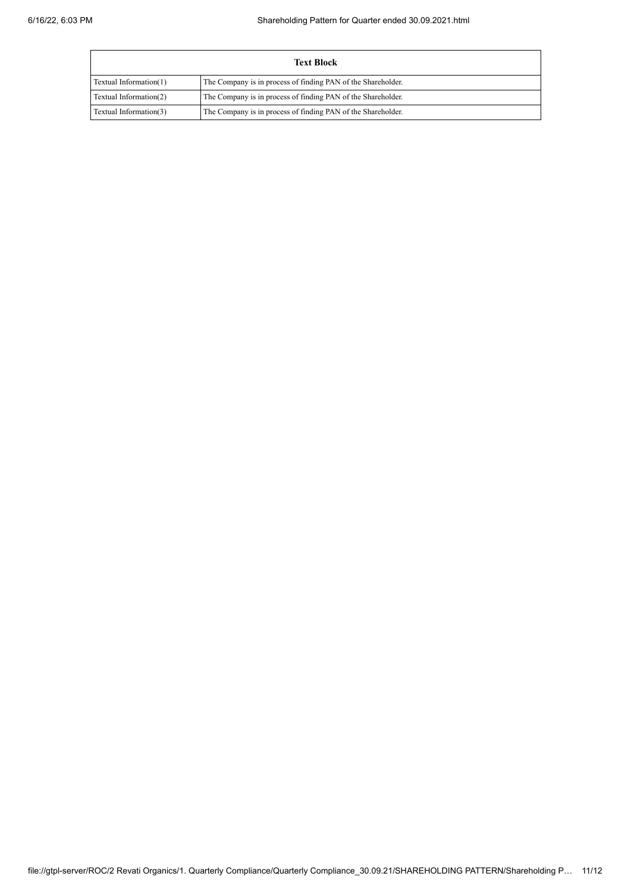| <b>Text Block</b>      |                                                              |  |  |  |  |  |  |  |
|------------------------|--------------------------------------------------------------|--|--|--|--|--|--|--|
| Textual Information(1) | The Company is in process of finding PAN of the Shareholder. |  |  |  |  |  |  |  |
| Textual Information(2) | The Company is in process of finding PAN of the Shareholder. |  |  |  |  |  |  |  |
| Textual Information(3) | The Company is in process of finding PAN of the Shareholder. |  |  |  |  |  |  |  |